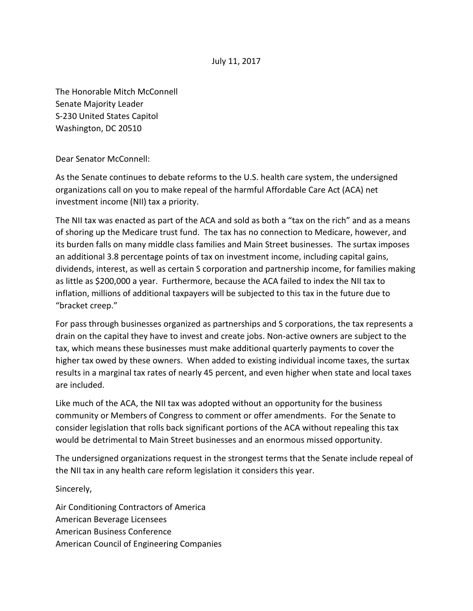## July 11, 2017

The Honorable Mitch McConnell Senate Majority Leader S-230 United States Capitol Washington, DC 20510

Dear Senator McConnell:

As the Senate continues to debate reforms to the U.S. health care system, the undersigned organizations call on you to make repeal of the harmful Affordable Care Act (ACA) net investment income (NII) tax a priority.

The NII tax was enacted as part of the ACA and sold as both a "tax on the rich" and as a means of shoring up the Medicare trust fund. The tax has no connection to Medicare, however, and its burden falls on many middle class families and Main Street businesses. The surtax imposes an additional 3.8 percentage points of tax on investment income, including capital gains, dividends, interest, as well as certain S corporation and partnership income, for families making as little as \$200,000 a year. Furthermore, because the ACA failed to index the NII tax to inflation, millions of additional taxpayers will be subjected to this tax in the future due to "bracket creep."

For pass through businesses organized as partnerships and S corporations, the tax represents a drain on the capital they have to invest and create jobs. Non-active owners are subject to the tax, which means these businesses must make additional quarterly payments to cover the higher tax owed by these owners. When added to existing individual income taxes, the surtax results in a marginal tax rates of nearly 45 percent, and even higher when state and local taxes are included.

Like much of the ACA, the NII tax was adopted without an opportunity for the business community or Members of Congress to comment or offer amendments. For the Senate to consider legislation that rolls back significant portions of the ACA without repealing this tax would be detrimental to Main Street businesses and an enormous missed opportunity.

The undersigned organizations request in the strongest terms that the Senate include repeal of the NII tax in any health care reform legislation it considers this year.

Sincerely,

Air Conditioning Contractors of America American Beverage Licensees American Business Conference American Council of Engineering Companies